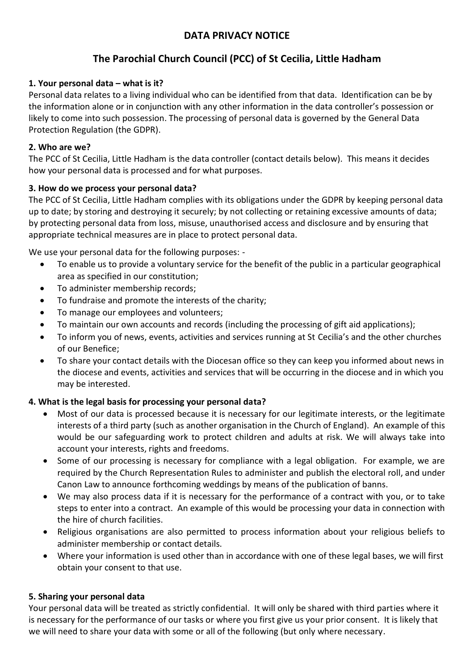## **DATA PRIVACY NOTICE**

# **The Parochial Church Council (PCC) of St Cecilia, Little Hadham**

## **1. Your personal data – what is it?**

Personal data relates to a living individual who can be identified from that data. Identification can be by the information alone or in conjunction with any other information in the data controller's possession or likely to come into such possession. The processing of personal data is governed by the General Data Protection Regulation (the GDPR).

#### **2. Who are we?**

The PCC of St Cecilia, Little Hadham is the data controller (contact details below). This means it decides how your personal data is processed and for what purposes.

## **3. How do we process your personal data?**

The PCC of St Cecilia, Little Hadham complies with its obligations under the GDPR by keeping personal data up to date; by storing and destroying it securely; by not collecting or retaining excessive amounts of data; by protecting personal data from loss, misuse, unauthorised access and disclosure and by ensuring that appropriate technical measures are in place to protect personal data.

We use your personal data for the following purposes: -

- To enable us to provide a voluntary service for the benefit of the public in a particular geographical area as specified in our constitution;
- To administer membership records;
- To fundraise and promote the interests of the charity;
- To manage our employees and volunteers;
- To maintain our own accounts and records (including the processing of gift aid applications);
- To inform you of news, events, activities and services running at St Cecilia's and the other churches of our Benefice;
- To share your contact details with the Diocesan office so they can keep you informed about news in the diocese and events, activities and services that will be occurring in the diocese and in which you may be interested.

## **4. What is the legal basis for processing your personal data?**

- Most of our data is processed because it is necessary for our legitimate interests, or the legitimate interests of a third party (such as another organisation in the Church of England). An example of this would be our safeguarding work to protect children and adults at risk. We will always take into account your interests, rights and freedoms.
- Some of our processing is necessary for compliance with a legal obligation. For example, we are required by the Church Representation Rules to administer and publish the electoral roll, and under Canon Law to announce forthcoming weddings by means of the publication of banns.
- We may also process data if it is necessary for the performance of a contract with you, or to take steps to enter into a contract. An example of this would be processing your data in connection with the hire of church facilities.
- Religious organisations are also permitted to process information about your religious beliefs to administer membership or contact details.
- Where your information is used other than in accordance with one of these legal bases, we will first obtain your consent to that use.

#### **5. Sharing your personal data**

Your personal data will be treated as strictly confidential. It will only be shared with third parties where it is necessary for the performance of our tasks or where you first give us your prior consent. It is likely that we will need to share your data with some or all of the following (but only where necessary.